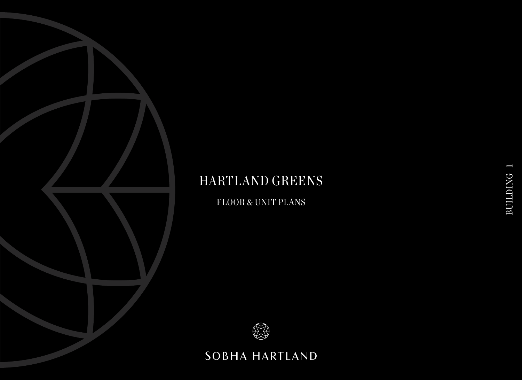FLOOR & UNIT PLANS



## SOBHA HARTLAND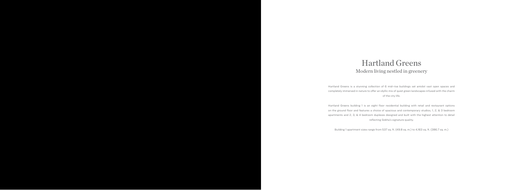Hartland Greens is a stunning collection of 6 mid-rise buildings set amidst vast open spaces and completely immersed in nature to offer an idyllic mix of quiet green landscapes infused with the charm of the city life.

Hartland Greens building 1 is an eight floor residential building with retail and restaurant options on the ground floor and features a choice of spacious and contemporary studios, 1, 2, & 3 bedroom apartments and 2, 3, & 4 bedroom duplexes designed and built with the highest attention to detail reflecting Sobha's signature quality.

Building 1 apartment sizes range from 537 sq. ft. (49.8 sq. m.) to 4,163 sq. ft. (386.7 sq. m.)

## Modern living nestled in greenery Hartland Greens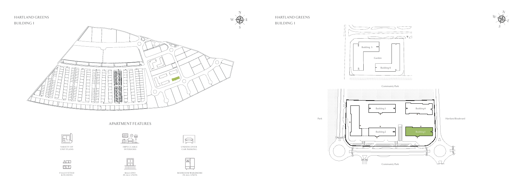BUILDING 1





### APARTMENT FEATURES



VA R I E T Y O F UNIT PLANS



 $\begin{tabular}{|c|c|c|} \hline \quad \quad & \quad \quad & \quad \quad & \quad \quad \\ \hline \quad \quad & \quad \quad & \quad \quad \\ \hline \quad \quad & \quad \quad & \quad \quad \\ \hline \end{tabular}$ 

FULLY FITTED K I TC H E N S





BEDROOM WARDROBE IN ALL UNITS



UNDERCOVER CAR PARKING

B A LC O N Y IN ALL UNITS

I M P E C C A B L E INTERIORS







### HARTLAND GREENS BUILDING 1

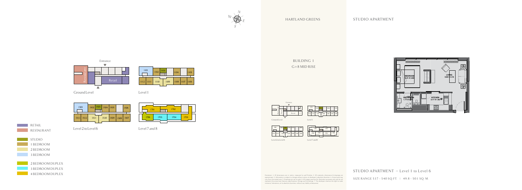

## Entrance Restaurant Retail  $\Lambda$

RESTAURANT **RETAIL** 

Level 2 to Level 6 Level 7 and 8

1 BEDROOM STUDIO 3 BEDROOM 2 BEDROOM



3 BEDROOM DUPLEX

4 BEDROOM DUPLEX





Disclaimer: 1. All dimensions are in metric, measured to wall finishes. 2. All materials, dimensions & drawings are<br>approximate. 3. Information is subject to change without notice, at developer's absolute discretion. 4. Ac vary from the stated area. 5. Drawings are not to scale. 6. All images used are for illustrative purposes only and do not represent the actual size, features, specifications, fittings and furnishings. 7. The developer reserves the right to make revisions/ alterations, at its absolute discretion, without any liability whatsovever.

SIZE RANGE 537 - 540 SQ.FT. | 49.8 - 50.1 SQ.M.

1112 1111 1110 1109 1108 1107 1106  $1102$   $1103$   $1104$   $1105$ 1101 1101 1103  $1102$  1104 1105 12 11 10 09 08 07 06



Level 2 to Level 6 Level 7 and 8

 $STUDIO$  APARTMENT – Level 1 to Level 6

#### HARTLAND GREENS

### STUDIO APARTMENT

12 11 10 09 08 07 06

1701 1702

Ground Level 1 Level 1



1112 11  $1101$   $1102$   $1103$   $1104$   $1105$ 

BUILDING 1 G+8 MID RISE



Ground Level Level 1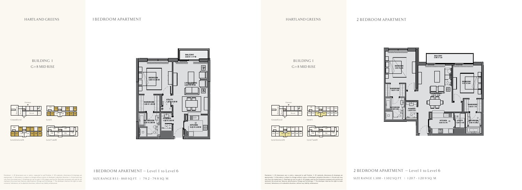Disclaimer: 1. All dimensions are in metric, measured to wall finishes. 2. All materials, dimensions & drawings are<br>approximate. 3. Information is subject to change without notice, at developer's absolute discretion. 4. Ac vary from the stated area. 5. Drawings are not to scale. 6. All images used are for illustrative purposes only and do not represent the actual size, features, specifications, fittings and furnishings. 7. The developer reserves the right to make revisions/ alterations, at its absolute discretion, without any liability whatsovever.



Level 2 to Level 6 Level 7 and 8



 $1701$   $1702$ 

### HARTLAND GREENS

### 1 BEDROOM APARTMENT

Disclaimer: 1. All dimensions are in metric, measured to wall finishes. 2. All materials, dimensions & drawings are<br>approximate. 3. Information is subject to change without notice, at developer's absolute discretion. 4. Ac vary from the stated area. 5. Drawings are not to scale. 6. All images used are for illustrative purposes only and do not represent the actual size, features, specifications, fittings and furnishings. 7. The developer reserves the right to make revisions/ alterations, at its absolute discretion, without any liability whatsovever.

SIZE RANGE 1,300 - 1302 SQ.FT. | 120.7 - 120.9 SQ.M.

12 11 10 09 08 07 06



Level 2 to Level 6 Level 7 and 8

 $1701$   $1702$ 





Ground Level 1

### HARTLAND GREENS

### 2 BEDROOM APARTMENT

12 11 10 09 08 07 06

BUILDING 1 G+8 MID RISE





### $1$  BEDROOM APARTMENT – Level 1 to Level 6

SIZE RANGE 853 - 860 SQ.FT. | 79.2 - 79.8 SQ.M.



### $2$  BEDROOM APARTMENT – Level 1 to Level 6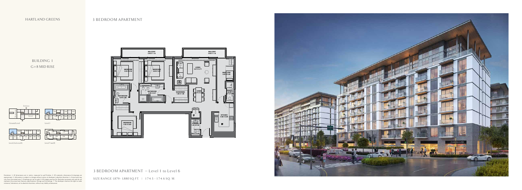BUILDING 1 G+8 MID RISE



Level 2 to Level 6 Level 7 and 8





### 3 BEDROOM APARTMENT – Level 1 to Level 6

SIZE RANGE 1,879 - 1,880 SQ.FT. | 174.5 - 174.6 SQ.M.

Disclaimer: 1. All dimensions are in metric, measured to wall finishes. 2. All materials, dimensions & drawings are approximate. 3. Information is subject to change without notice, at developer's absolute discretion. 4. Ac





### HARTLAND GREENS

### 3 BEDROOM APARTMENT



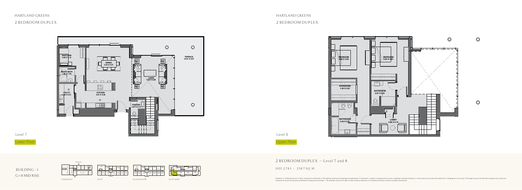

### 2 BEDROOM DUPLEX

Lower Floor Upper Floor

### $2$  BEDROOM DUPLEX - Level 7 and 8

#### SIZE 2,785 | 258.7 SQ. M.



### HARTLAND GREENS

### 2 BEDROOM DUPLEX

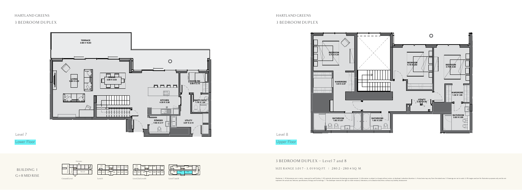



3 BEDROOM DUPLEX

### HARTLAND GREENS

### 3 BEDROOM DUPLEX



### 3 BEDROOM DUPLEX - Level 7 and 8

#### SIZE RANGE 3,017 - 3,019 SQ.FT. | 280.2 - 280.4 SQ.M.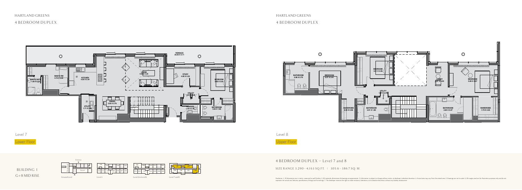## HARTLAND GREENS 4 BEDROOM DUPLEX

### HARTLAND GREENS 4 BEDROOM DUPLEX



Level 7 Level 8

Lower Floor Upper Floor





### 4 BEDROOM DUPLEX - Level 7 and 8

SIZE RANGE 3, 290 - 4, 1 6 3 SQ. FT. | 305.6 - 386.7 SQ. M.